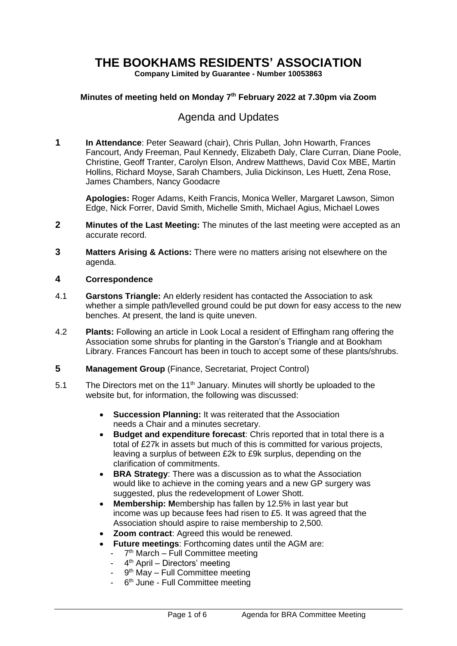# **THE BOOKHAMS RESIDENTS' ASSOCIATION**

**Company Limited by Guarantee - Number 10053863**

#### **Minutes of meeting held on Monday 7 th February 2022 at 7.30pm via Zoom**

# Agenda and Updates

**1 In Attendance**: Peter Seaward (chair), Chris Pullan, John Howarth, Frances Fancourt, Andy Freeman, Paul Kennedy, Elizabeth Daly, Clare Curran, Diane Poole, Christine, Geoff Tranter, Carolyn Elson, Andrew Matthews, David Cox MBE, Martin Hollins, Richard Moyse, Sarah Chambers, Julia Dickinson, Les Huett, Zena Rose, James Chambers, Nancy Goodacre

**Apologies:** Roger Adams, Keith Francis, Monica Weller, Margaret Lawson, Simon Edge, Nick Forrer, David Smith, Michelle Smith, Michael Agius, Michael Lowes

- **2 Minutes of the Last Meeting:** The minutes of the last meeting were accepted as an accurate record.
- **3 Matters Arising & Actions:** There were no matters arising not elsewhere on the agenda.

#### **4 Correspondence**

- 4.1 **Garstons Triangle:** An elderly resident has contacted the Association to ask whether a simple path/levelled ground could be put down for easy access to the new benches. At present, the land is quite uneven.
- 4.2 **Plants:** Following an article in Look Local a resident of Effingham rang offering the Association some shrubs for planting in the Garston's Triangle and at Bookham Library. Frances Fancourt has been in touch to accept some of these plants/shrubs.
- **5 Management Group** (Finance, Secretariat, Project Control)
- 5.1 The Directors met on the 11<sup>th</sup> January. Minutes will shortly be uploaded to the website but, for information, the following was discussed:
	- **Succession Planning:** It was reiterated that the Association needs a Chair and a minutes secretary.
	- **Budget and expenditure forecast**: Chris reported that in total there is a total of £27k in assets but much of this is committed for various projects, leaving a surplus of between £2k to £9k surplus, depending on the clarification of commitments.
	- **BRA Strategy:** There was a discussion as to what the Association would like to achieve in the coming years and a new GP surgery was suggested, plus the redevelopment of Lower Shott.
	- **Membership: M**embership has fallen by 12.5% in last year but income was up because fees had risen to £5. It was agreed that the Association should aspire to raise membership to 2,500.
	- **Zoom contract**: Agreed this would be renewed.
	- **Future meetings**: Forthcoming dates until the AGM are:
		- 7<sup>th</sup> March Full Committee meeting
		- 4<sup>th</sup> April Directors' meeting
		- 9<sup>th</sup> May Full Committee meeting
		- 6<sup>th</sup> June Full Committee meeting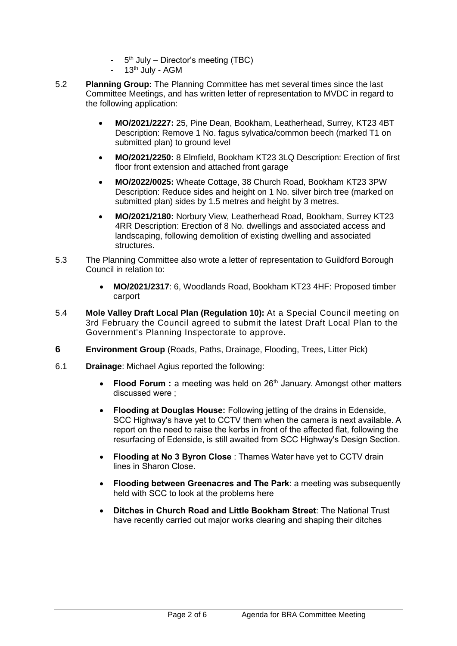- 5<sup>th</sup> July Director's meeting (TBC)
- 13<sup>th</sup> July AGM
- 5.2 **Planning Group:** The Planning Committee has met several times since the last Committee Meetings, and has written letter of representation to MVDC in regard to the following application:
	- **MO/2021/2227:** 25, Pine Dean, Bookham, Leatherhead, Surrey, KT23 4BT Description: Remove 1 No. fagus sylvatica/common beech (marked T1 on submitted plan) to ground level
	- **MO/2021/2250:** 8 Elmfield, Bookham KT23 3LQ Description: Erection of first floor front extension and attached front garage
	- **MO/2022/0025:** Wheate Cottage, 38 Church Road, Bookham KT23 3PW Description: Reduce sides and height on 1 No. silver birch tree (marked on submitted plan) sides by 1.5 metres and height by 3 metres.
	- **MO/2021/2180:** Norbury View, Leatherhead Road, Bookham, Surrey KT23 4RR Description: Erection of 8 No. dwellings and associated access and landscaping, following demolition of existing dwelling and associated structures.
- 5.3 The Planning Committee also wrote a letter of representation to Guildford Borough Council in relation to:
	- **MO/2021/2317**: 6, Woodlands Road, Bookham KT23 4HF: Proposed timber carport
- 5.4 **Mole Valley Draft Local Plan (Regulation 10):** At a Special Council meeting on 3rd February the Council agreed to submit the latest Draft Local Plan to the Government's Planning Inspectorate to approve.
- **6 Environment Group** (Roads, Paths, Drainage, Flooding, Trees, Litter Pick)
- 6.1 **Drainage**: Michael Agius reported the following:
	- **Flood Forum**: a meeting was held on 26<sup>th</sup> January. Amongst other matters discussed were ;
	- **Flooding at Douglas House:** Following jetting of the drains in Edenside, SCC Highway's have yet to CCTV them when the camera is next available. A report on the need to raise the kerbs in front of the affected flat, following the resurfacing of Edenside, is still awaited from SCC Highway's Design Section.
	- **Flooding at No 3 Byron Close** : Thames Water have yet to CCTV drain lines in Sharon Close.
	- **Flooding between Greenacres and The Park**: a meeting was subsequently held with SCC to look at the problems here
	- **Ditches in Church Road and Little Bookham Street**: The National Trust have recently carried out major works clearing and shaping their ditches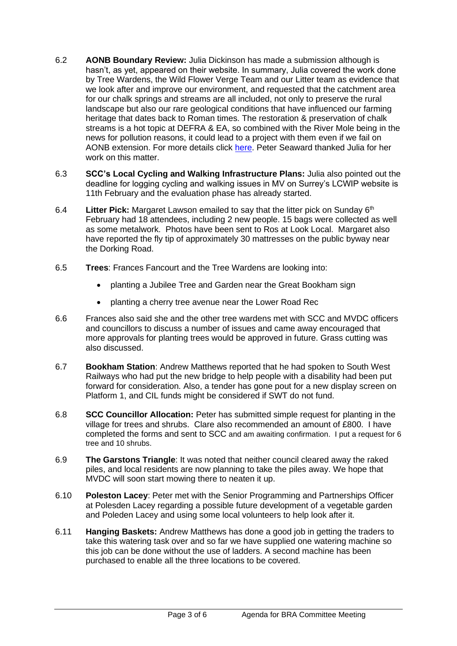- 6.2 **AONB Boundary Review:** Julia Dickinson has made a submission although is hasn't, as yet, appeared on their website. In summary, Julia covered the work done by Tree Wardens, the Wild Flower Verge Team and our Litter team as evidence that we look after and improve our environment, and requested that the catchment area for our chalk springs and streams are all included, not only to preserve the rural landscape but also our rare geological conditions that have influenced our farming heritage that dates back to Roman times. The restoration & preservation of chalk streams is a hot topic at DEFRA & EA, so combined with the River Mole being in the news for pollution reasons, it could lead to a project with them even if we fail on AONB extension. For more details click [here.](https://southcoastgis.maps.arcgis.com/apps/MapJournal/index.html?appid=1ab2260b98c944409cfa8732802ff6a6) Peter Seaward thanked Julia for her work on this matter.
- 6.3 **SCC's Local Cycling and Walking Infrastructure Plans:** Julia also pointed out the deadline for logging cycling and walking issues in MV on Surrey's LCWIP website is 11th February and the evaluation phase has already started.
- 6.4 **Litter Pick:** Margaret Lawson emailed to say that the litter pick on Sunday 6th February had 18 attendees, including 2 new people. 15 bags were collected as well as some metalwork. Photos have been sent to Ros at Look Local. Margaret also have reported the fly tip of approximately 30 mattresses on the public byway near the Dorking Road.
- 6.5 **Trees**: Frances Fancourt and the Tree Wardens are looking into:
	- planting a Jubilee Tree and Garden near the Great Bookham sign
	- planting a cherry tree avenue near the Lower Road Rec
- 6.6 Frances also said she and the other tree wardens met with SCC and MVDC officers and councillors to discuss a number of issues and came away encouraged that more approvals for planting trees would be approved in future. Grass cutting was also discussed.
- 6.7 **Bookham Station**: Andrew Matthews reported that he had spoken to South West Railways who had put the new bridge to help people with a disability had been put forward for consideration. Also, a tender has gone pout for a new display screen on Platform 1, and CIL funds might be considered if SWT do not fund.
- 6.8 **SCC Councillor Allocation:** Peter has submitted simple request for planting in the village for trees and shrubs. Clare also recommended an amount of £800. I have completed the forms and sent to SCC and am awaiting confirmation. I put a request for 6 tree and 10 shrubs.
- 6.9 **The Garstons Triangle**: It was noted that neither council cleared away the raked piles, and local residents are now planning to take the piles away. We hope that MVDC will soon start mowing there to neaten it up.
- 6.10 **Poleston Lacey**: Peter met with the Senior Programming and Partnerships Officer at Polesden Lacey regarding a possible future development of a vegetable garden and Poleden Lacey and using some local volunteers to help look after it.
- 6.11 **Hanging Baskets:** Andrew Matthews has done a good job in getting the traders to take this watering task over and so far we have supplied one watering machine so this job can be done without the use of ladders. A second machine has been purchased to enable all the three locations to be covered.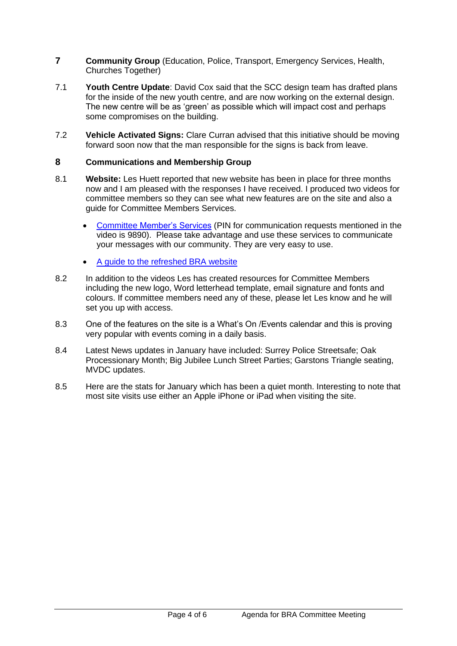- **7 Community Group** (Education, Police, Transport, Emergency Services, Health, Churches Together)
- 7.1 **Youth Centre Update**: David Cox said that the SCC design team has drafted plans for the inside of the new youth centre, and are now working on the external design. The new centre will be as 'green' as possible which will impact cost and perhaps some compromises on the building.
- 7.2 **Vehicle Activated Signs:** Clare Curran advised that this initiative should be moving forward soon now that the man responsible for the signs is back from leave.

### **8 Communications and Membership Group**

- 8.1 **Website:** Les Huett reported that new website has been in place for three months now and I am pleased with the responses I have received. I produced two videos for committee members so they can see what new features are on the site and also a guide for Committee Members Services.
	- [Committee Member's Services](https://vimeo.com/652529689/0d87799860) (PIN for communication requests mentioned in the video is 9890). Please take advantage and use these services to communicate your messages with our community. They are very easy to use.
	- [A guide to the refreshed BRA website](https://vimeo.com/655681837/16c0c46a5d)
- 8.2 In addition to the videos Les has created resources for Committee Members including the new logo, Word letterhead template, email signature and fonts and colours. If committee members need any of these, please let Les know and he will set you up with access.
- 8.3 One of the features on the site is a What's On /Events calendar and this is proving very popular with events coming in a daily basis.
- 8.4 Latest News updates in January have included: Surrey Police Streetsafe; Oak Processionary Month; Big Jubilee Lunch Street Parties; Garstons Triangle seating, MVDC updates.
- 8.5 Here are the stats for January which has been a quiet month. Interesting to note that most site visits use either an Apple iPhone or iPad when visiting the site.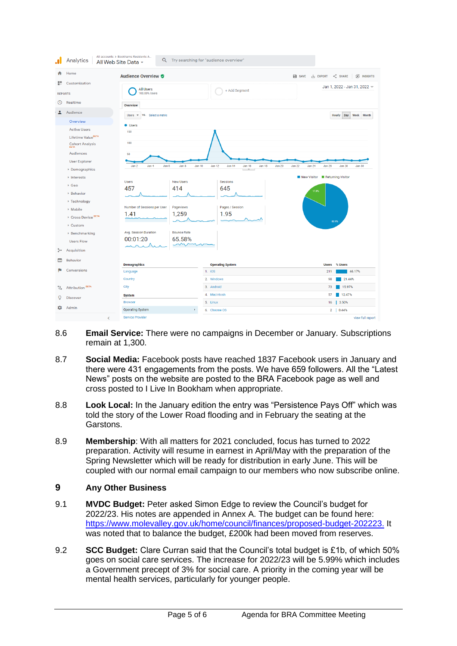|                        | Analytics                             | All accounts > Bookhams Residents A<br>All Web Site Data -                                                                                                                                   |  |                            | Q Try searching for "audience overview" |  |  |                                                                |                                 |                              |           |  |                  |  |
|------------------------|---------------------------------------|----------------------------------------------------------------------------------------------------------------------------------------------------------------------------------------------|--|----------------------------|-----------------------------------------|--|--|----------------------------------------------------------------|---------------------------------|------------------------------|-----------|--|------------------|--|
| ₳                      | Home                                  | <b>Audience Overview ♥</b>                                                                                                                                                                   |  |                            |                                         |  |  | S INSIGHTS<br><b>B</b> SAVE<br>$\leq$ SHARE<br><b>上 EXPORT</b> |                                 |                              |           |  |                  |  |
| 噩                      | Customization                         | <b>All Users</b>                                                                                                                                                                             |  |                            | + Add Segment                           |  |  |                                                                |                                 | Jan 1, 2022 - Jan 31, 2022 - |           |  |                  |  |
| <b>REPORTS</b>         |                                       | 100.00% Users                                                                                                                                                                                |  |                            |                                         |  |  |                                                                |                                 |                              |           |  |                  |  |
| $^\circledR$           | Realtime                              | Overview                                                                                                                                                                                     |  |                            |                                         |  |  |                                                                |                                 |                              |           |  |                  |  |
| ∸                      | Audience                              | VS. Select a metric<br>Users $\sqrt{*}$                                                                                                                                                      |  |                            |                                         |  |  |                                                                | <b>Hourly</b><br>Day Week Month |                              |           |  |                  |  |
|                        | Overview                              | <b>Users</b>                                                                                                                                                                                 |  |                            |                                         |  |  |                                                                |                                 |                              |           |  |                  |  |
|                        | <b>Active Users</b>                   | 150                                                                                                                                                                                          |  |                            |                                         |  |  |                                                                |                                 |                              |           |  |                  |  |
|                        | Lifetime Value <sup>BETA</sup>        |                                                                                                                                                                                              |  |                            |                                         |  |  |                                                                |                                 |                              |           |  |                  |  |
|                        | <b>Cohort Analysis</b><br><b>BETA</b> | 100                                                                                                                                                                                          |  |                            |                                         |  |  |                                                                |                                 |                              |           |  |                  |  |
| <b>Audiences</b><br>50 |                                       |                                                                                                                                                                                              |  |                            |                                         |  |  |                                                                |                                 |                              |           |  |                  |  |
|                        | <b>User Explorer</b>                  |                                                                                                                                                                                              |  |                            |                                         |  |  |                                                                | <b>Jan 30</b>                   |                              |           |  |                  |  |
|                        | ▶ Demographics                        | Jan 4<br>Jan 6<br><b>Jan 10</b><br>Jan 12<br><b>Jan 14</b><br><b>Jan 16</b><br><b>Jan 18</b><br><b>Jan 20</b><br><b>Jan 22</b><br><b>Jan 24</b><br><b>Jan 26</b><br>Jan 28<br>Jan 2<br>Jan 8 |  |                            |                                         |  |  |                                                                |                                 |                              |           |  |                  |  |
|                        | $\triangleright$ Interests            |                                                                                                                                                                                              |  |                            |                                         |  |  |                                                                | New Visitor Returning Visitor   |                              |           |  |                  |  |
|                        | ▶ Geo                                 | <b>New Users</b><br><b>Users</b>                                                                                                                                                             |  |                            | <b>Sessions</b>                         |  |  |                                                                |                                 |                              |           |  |                  |  |
|                        | ▶ Behavior                            | 457<br>414                                                                                                                                                                                   |  |                            | 645                                     |  |  |                                                                | 17.9%                           |                              |           |  |                  |  |
|                        | ▶ Technology                          |                                                                                                                                                                                              |  |                            |                                         |  |  |                                                                |                                 |                              |           |  |                  |  |
|                        | ▶ Mobile                              | Number of Sessions per User<br>Pageviews                                                                                                                                                     |  | Pages / Session            |                                         |  |  |                                                                |                                 |                              |           |  |                  |  |
|                        | ▶ Cross Device <sup>BETA</sup>        | 1.41<br>1,259                                                                                                                                                                                |  |                            | 1.95                                    |  |  |                                                                |                                 |                              |           |  |                  |  |
|                        | ▶ Custom                              |                                                                                                                                                                                              |  |                            |                                         |  |  |                                                                |                                 |                              | 82.1%     |  |                  |  |
|                        | ▶ Benchmarking                        | Avg. Session Duration<br><b>Bounce Rate</b>                                                                                                                                                  |  |                            |                                         |  |  |                                                                |                                 |                              |           |  |                  |  |
|                        | <b>Users Flow</b>                     | 00:01:20<br>65.58%                                                                                                                                                                           |  |                            |                                         |  |  |                                                                |                                 |                              |           |  |                  |  |
|                        |                                       |                                                                                                                                                                                              |  |                            |                                         |  |  |                                                                |                                 |                              |           |  |                  |  |
| ≻∙                     | Acquisition                           |                                                                                                                                                                                              |  |                            |                                         |  |  |                                                                |                                 |                              |           |  |                  |  |
| О                      | <b>Behavior</b>                       | <b>Demographics</b>                                                                                                                                                                          |  |                            | <b>Operating System</b>                 |  |  |                                                                |                                 | <b>Users</b>                 | % Users   |  |                  |  |
| H                      | Conversions                           | Language                                                                                                                                                                                     |  | 1. iOS                     |                                         |  |  | 46.17%<br>211                                                  |                                 |                              |           |  |                  |  |
|                        | Country                               |                                                                                                                                                                                              |  | 2. Windows                 |                                         |  |  | 21.44%<br>98                                                   |                                 |                              |           |  |                  |  |
| ್ಕ                     | <b>Attribution BETA</b>               | City<br><b>System</b><br><b>Browser</b>                                                                                                                                                      |  | 3. Android<br>4. Macintosh |                                         |  |  | 15.97%<br>73<br>12.47%<br>57                                   |                                 |                              |           |  |                  |  |
| Q                      | <b>Discover</b>                       |                                                                                                                                                                                              |  |                            |                                         |  |  |                                                                |                                 |                              |           |  |                  |  |
|                        |                                       |                                                                                                                                                                                              |  | 5. Linux                   |                                         |  |  | 16 3.50%                                                       |                                 |                              |           |  |                  |  |
| ≈                      | Admin                                 | <b>Operating System</b><br>$\mathbb F$                                                                                                                                                       |  | 6. Chrome OS               |                                         |  |  |                                                                |                                 |                              | 2   0.44% |  |                  |  |
|                        | K                                     | <b>Service Provider</b>                                                                                                                                                                      |  |                            |                                         |  |  |                                                                |                                 |                              |           |  | view full report |  |

- 8.6 **Email Service:** There were no campaigns in December or January. Subscriptions remain at 1,300.
- 8.7 **Social Media:** Facebook posts have reached 1837 Facebook users in January and there were 431 engagements from the posts. We have 659 followers. All the "Latest News" posts on the website are posted to the BRA Facebook page as well and cross posted to I Live In Bookham when appropriate.
- 8.8 **Look Local:** In the January edition the entry was "Persistence Pays Off" which was told the story of the Lower Road flooding and in February the seating at the Garstons.
- 8.9 **Membership**: With all matters for 2021 concluded, focus has turned to 2022 preparation. Activity will resume in earnest in April/May with the preparation of the Spring Newsletter which will be ready for distribution in early June. This will be coupled with our normal email campaign to our members who now subscribe online.

## **9 Any Other Business**

- 9.1 **MVDC Budget:** Peter asked Simon Edge to review the Council's budget for 2022/23. His notes are appended in Annex A. The budget can be found here: [https://www.molevalley.gov.uk/home/council/finances/proposed-budget-202223.](https://www.molevalley.gov.uk/home/council/finances/proposed-budget-202223) It was noted that to balance the budget, £200k had been moved from reserves.
- 9.2 **SCC Budget:** Clare Curran said that the Council's total budget is £1b, of which 50% goes on social care services. The increase for 2022/23 will be 5.99% which includes a Government precept of 3% for social care. A priority in the coming year will be mental health services, particularly for younger people.